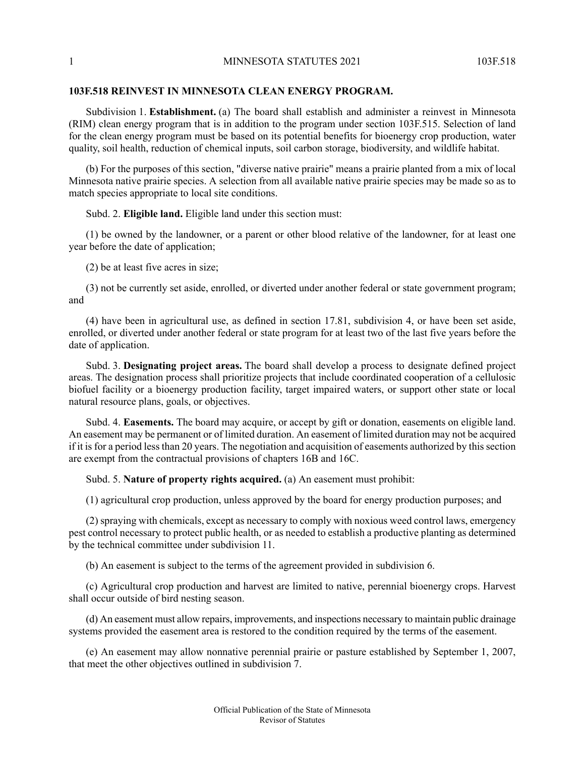## **103F.518 REINVEST IN MINNESOTA CLEAN ENERGY PROGRAM.**

Subdivision 1. **Establishment.** (a) The board shall establish and administer a reinvest in Minnesota (RIM) clean energy program that is in addition to the program under section 103F.515. Selection of land for the clean energy program must be based on its potential benefits for bioenergy crop production, water quality, soil health, reduction of chemical inputs, soil carbon storage, biodiversity, and wildlife habitat.

(b) For the purposes of this section, "diverse native prairie" means a prairie planted from a mix of local Minnesota native prairie species. A selection from all available native prairie species may be made so as to match species appropriate to local site conditions.

Subd. 2. **Eligible land.** Eligible land under this section must:

(1) be owned by the landowner, or a parent or other blood relative of the landowner, for at least one year before the date of application;

(2) be at least five acres in size;

(3) not be currently set aside, enrolled, or diverted under another federal or state government program; and

(4) have been in agricultural use, as defined in section 17.81, subdivision 4, or have been set aside, enrolled, or diverted under another federal or state program for at least two of the last five years before the date of application.

Subd. 3. **Designating project areas.** The board shall develop a process to designate defined project areas. The designation process shall prioritize projects that include coordinated cooperation of a cellulosic biofuel facility or a bioenergy production facility, target impaired waters, or support other state or local natural resource plans, goals, or objectives.

Subd. 4. **Easements.** The board may acquire, or accept by gift or donation, easements on eligible land. An easement may be permanent or of limited duration. An easement of limited duration may not be acquired if it is for a period less than 20 years. The negotiation and acquisition of easements authorized by this section are exempt from the contractual provisions of chapters 16B and 16C.

Subd. 5. **Nature of property rights acquired.** (a) An easement must prohibit:

(1) agricultural crop production, unless approved by the board for energy production purposes; and

(2) spraying with chemicals, except as necessary to comply with noxious weed control laws, emergency pest control necessary to protect public health, or as needed to establish a productive planting as determined by the technical committee under subdivision 11.

(b) An easement is subject to the terms of the agreement provided in subdivision 6.

(c) Agricultural crop production and harvest are limited to native, perennial bioenergy crops. Harvest shall occur outside of bird nesting season.

(d) An easement must allow repairs, improvements, and inspections necessary to maintain public drainage systems provided the easement area is restored to the condition required by the terms of the easement.

(e) An easement may allow nonnative perennial prairie or pasture established by September 1, 2007, that meet the other objectives outlined in subdivision 7.